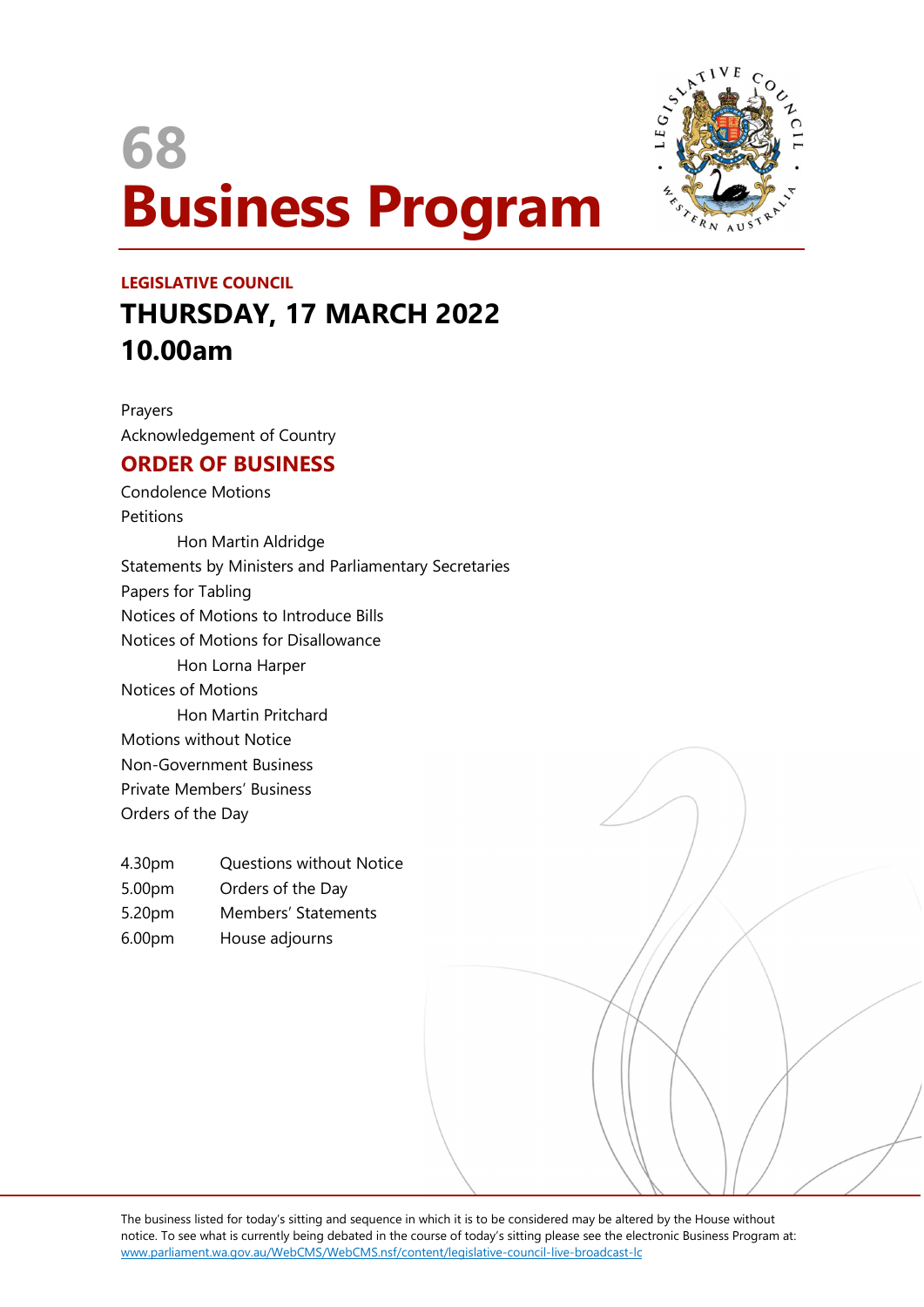# 68 Business Program



## LEGISLATIVE COUNCIL THURSDAY, 17 MARCH 2022 10.00am

Prayers Acknowledgement of Country

### ORDER OF BUSINESS

Condolence Motions **Petitions** Hon Martin Aldridge Statements by Ministers and Parliamentary Secretaries Papers for Tabling Notices of Motions to Introduce Bills Notices of Motions for Disallowance Hon Lorna Harper Notices of Motions Hon Martin Pritchard Motions without Notice Non-Government Business Private Members' Business Orders of the Day

- 4.30pm Questions without Notice
- 5.00pm Orders of the Day
- 5.20pm Members' Statements
- 6.00pm House adjourns

The business listed for today's sitting and sequence in which it is to be considered may be altered by the House without notice. To see what is currently being debated in the course of today's sitting please see the electronic Business Program at: www.parliament.wa.gov.au/WebCMS/WebCMS.nsf/content/legislative-council-live-broadcast-lc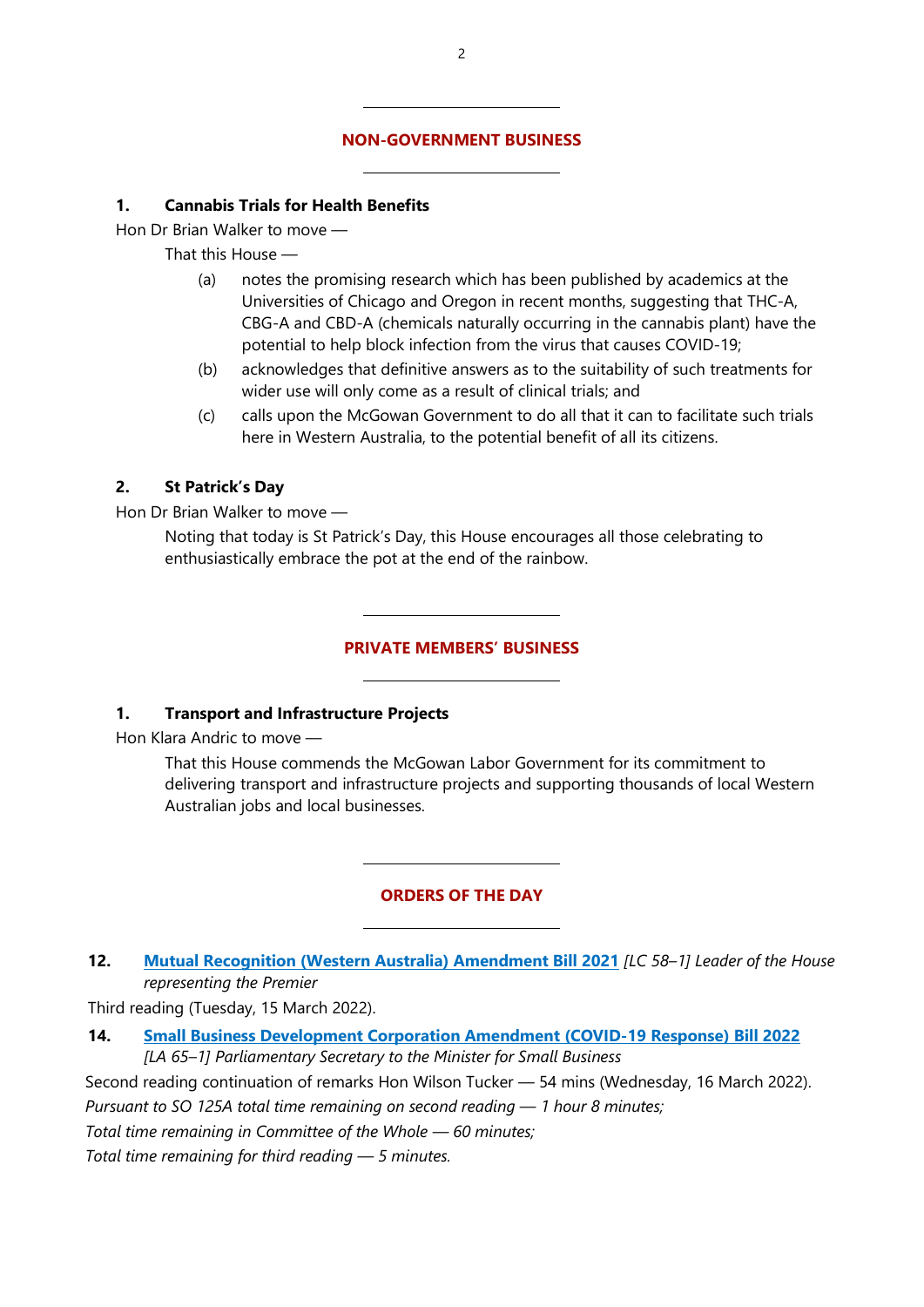#### NON-GOVERNMENT BUSINESS

 $\overline{a}$ 

 $\overline{a}$ 

 $\overline{a}$ 

 $\overline{a}$ 

 $\overline{a}$ 

 $\overline{a}$ 

#### 1. Cannabis Trials for Health Benefits

Hon Dr Brian Walker to move —

That this House —

- (a) notes the promising research which has been published by academics at the Universities of Chicago and Oregon in recent months, suggesting that THC-A, CBG-A and CBD-A (chemicals naturally occurring in the cannabis plant) have the potential to help block infection from the virus that causes COVID-19;
- (b) acknowledges that definitive answers as to the suitability of such treatments for wider use will only come as a result of clinical trials; and
- (c) calls upon the McGowan Government to do all that it can to facilitate such trials here in Western Australia, to the potential benefit of all its citizens.

#### 2. St Patrick's Day

Hon Dr Brian Walker to move —

Noting that today is St Patrick's Day, this House encourages all those celebrating to enthusiastically embrace the pot at the end of the rainbow.

#### PRIVATE MEMBERS' BUSINESS

#### 1. Transport and Infrastructure Projects

Hon Klara Andric to move —

That this House commends the McGowan Labor Government for its commitment to delivering transport and infrastructure projects and supporting thousands of local Western Australian jobs and local businesses.

#### ORDERS OF THE DAY

#### 12. Mutual Recognition (Western Australia) Amendment Bill 2021 [LC 58-1] Leader of the House representing the Premier

Third reading (Tuesday, 15 March 2022).

14. Small Business Development Corporation Amendment (COVID-19 Response) Bill 2022 [LA 65–1] Parliamentary Secretary to the Minister for Small Business

Second reading continuation of remarks Hon Wilson Tucker — 54 mins (Wednesday, 16 March 2022).

Pursuant to SO 125A total time remaining on second reading — 1 hour 8 minutes;

Total time remaining in Committee of the Whole — 60 minutes;

Total time remaining for third reading — 5 minutes.